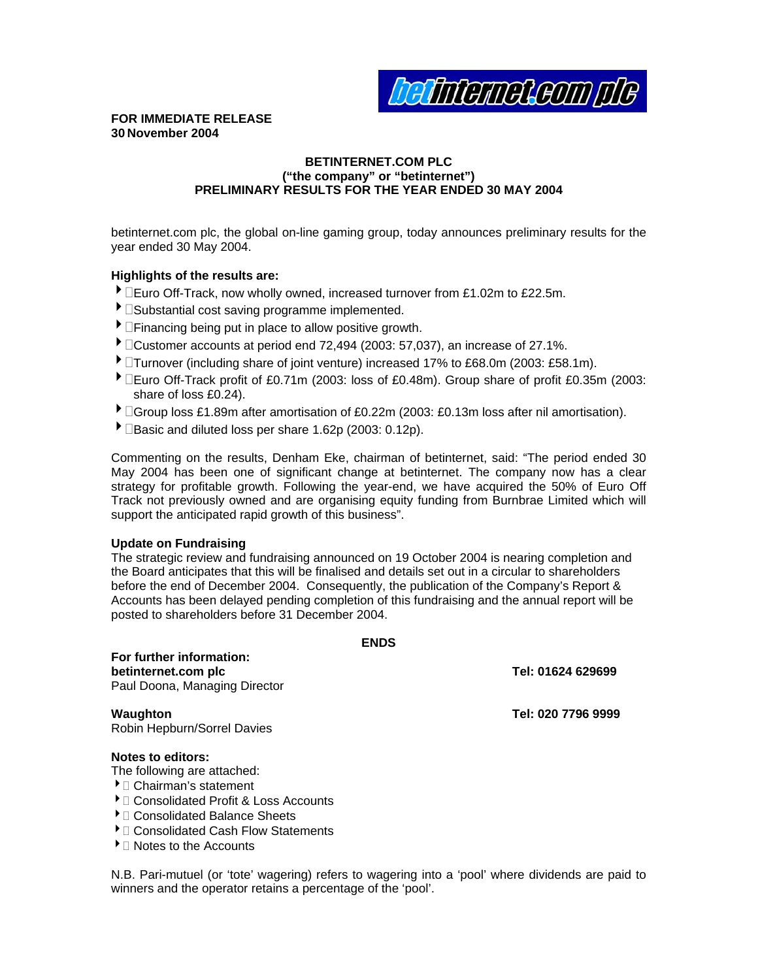**efinemeteum pl** 

### **FOR IMMEDIATE RELEASE 30 November 2004**

### **BETINTERNET.COM PLC ("the company" or "betinternet") PRELIMINARY RESULTS FOR THE YEAR ENDED 30 MAY 2004**

betinternet.com plc, the global on-line gaming group, today announces preliminary results for the year ended 30 May 2004.

### **Highlights of the results are:**

- $\blacktriangleright$   $\square$ Euro Off-Track, now wholly owned, increased turnover from £1.02m to £22.5m.
- $\blacktriangleright$   $\square$ Substantial cost saving programme implemented.
- $\blacktriangleright$   $\Box$ Financing being put in place to allow positive growth.
- $\blacktriangleright$   $\Box$ Customer accounts at period end 72,494 (2003: 57,037), an increase of 27.1%.
- ▶ □Turnover (including share of joint venture) increased 17% to £68.0m (2003: £58.1m).
- Euro Off-Track profit of £0.71m (2003: loss of £0.48m). Group share of profit £0.35m (2003: share of loss £0.24).
- ▶ **Coroup loss £1.89m after amortisation of £0.22m (2003: £0.13m loss after nil amortisation).**
- $\blacktriangleright$   $\Box$ Basic and diluted loss per share 1.62p (2003: 0.12p).

Track not previously owned and are organising equity funding from Burnbrae Limited which will support the anticipated rapid growth of this business". Commenting on the results, Denham Eke, chairman of betinternet, said: "The period ended 30 May 2004 has been one of significant change at betinternet. The company now has a clear strategy for profitable growth. Following the year-end, we have acquired the 50% of Euro Off

### **Update on Fundraising**

Accounts has been delayed pending completion of this fundraising and the annual report will be posted to shareholders before 31 December 2004. The strategic review and fundraising announced on 19 October 2004 is nearing completion and the Board anticipates that this will be finalised and details set out in a circular to shareholders before the end of December 2004. Consequently, the publication of the Company's Report &

**ENDS** 

| ᄓ៴                                                                               |                    |
|----------------------------------------------------------------------------------|--------------------|
| For further information:<br>betinternet.com plc<br>Paul Doona, Managing Director | Tel: 01624 629699  |
| Waughton<br>Robin Hepburn/Sorrel Davies                                          | Tel: 020 7796 9999 |
| <b>Notes to editors:</b>                                                         |                    |
| The following are attached:                                                      |                    |
| $\blacktriangleright$ $\sqcap$ Chairman's statement                              |                    |
| ▶ Consolidated Profit & Loss Accounts                                            |                    |
| ▶ □ Consolidated Balance Sheets                                                  |                    |

- $\blacktriangleright$   $\Box$  Consolidated Cash Flow Statements
- $\blacktriangleright$   $\Box$  Notes to the Accounts
- 

N.B. Pari-mutuel (or 'tote' wagering) refers to wagering into a 'pool' where dividends are paid to winners and the operator retains a percentage of the 'pool'.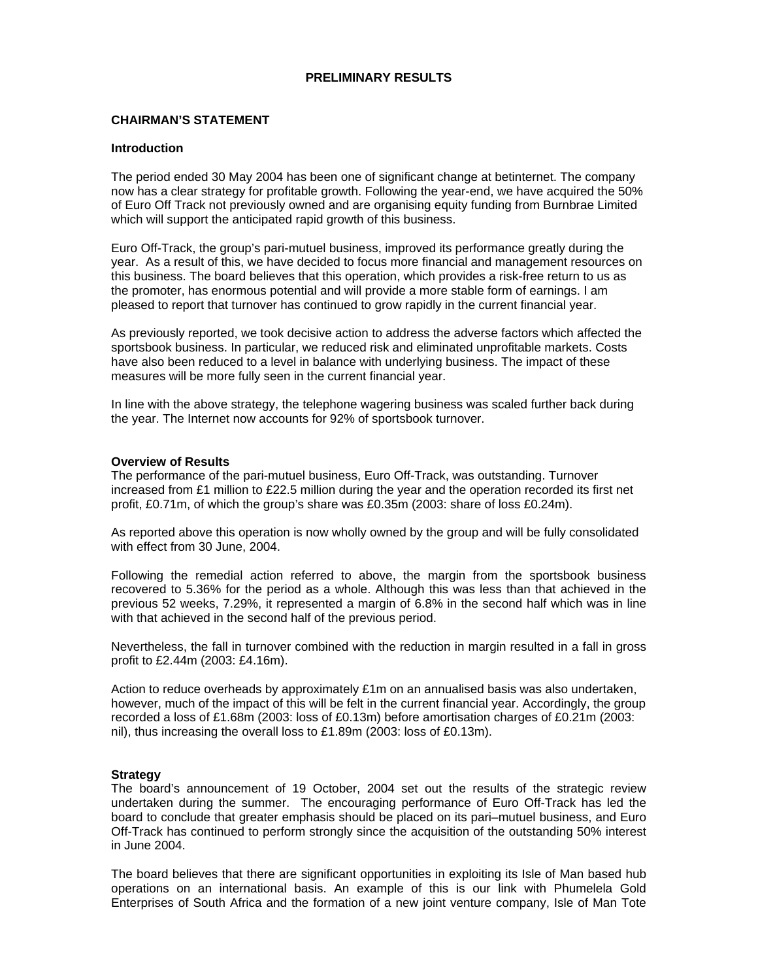### **PRELIMINARY RESULTS**

### **CHAIRMAN'S STATEMENT**

#### **Introduction**

The period ended 30 May 2004 has been one of significant change at betinternet. The company now has a clear strategy for profitable growth. Following the year-end, we have acquired the 50% of Euro Off Track not previously owned and are organising equity funding from Burnbrae Limited which will support the anticipated rapid growth of this business.

Euro Off-Track, the group's pari-mutuel business, improved its performance greatly during the year. As a result of this, we have decided to focus more financial and management resources on this business. The board believes that this operation, which provides a risk-free return to us as the promoter, has enormous potential and will provide a more stable form of earnings. I am pleased to report that turnover has continued to grow rapidly in the current financial year.

As previously reported, we took decisive action to address the adverse factors which affected the sportsbook business. In particular, we reduced risk and eliminated unprofitable markets. Costs have also been reduced to a level in balance with underlying business. The impact of these measures will be more fully seen in the current financial year.

In line with the above strategy, the telephone wagering business was scaled further back during the year. The Internet now accounts for 92% of sportsbook turnover.

#### **Overview of Results**

The performance of the pari-mutuel business, Euro Off-Track, was outstanding. Turnover increased from £1 million to £22.5 million during the year and the operation recorded its first net profit, £0.71m, of which the group's share was £0.35m (2003: share of loss £0.24m).

As reported above this operation is now wholly owned by the group and will be fully consolidated with effect from 30 June, 2004.

Following the remedial action referred to above, the margin from the sportsbook business recovered to 5.36% for the period as a whole. Although this was less than that achieved in the previous 52 weeks, 7.29%, it represented a margin of 6.8% in the second half which was in line with that achieved in the second half of the previous period.

Nevertheless, the fall in turnover combined with the reduction in margin resulted in a fall in gross profit to £2.44m (2003: £4.16m).

Action to reduce overheads by approximately £1m on an annualised basis was also undertaken, however, much of the impact of this will be felt in the current financial year. Accordingly, the group recorded a loss of £1.68m (2003: loss of £0.13m) before amortisation charges of £0.21m (2003: nil), thus increasing the overall loss to £1.89m (2003: loss of £0.13m).

#### **Strategy**

The board's announcement of 19 October, 2004 set out the results of the strategic review undertaken during the summer. The encouraging performance of Euro Off-Track has led the board to conclude that greater emphasis should be placed on its pari–mutuel business, and Euro Off-Track has continued to perform strongly since the acquisition of the outstanding 50% interest in June 2004.

The board believes that there are significant opportunities in exploiting its Isle of Man based hub operations on an international basis. An example of this is our link with Phumelela Gold Enterprises of South Africa and the formation of a new joint venture company, Isle of Man Tote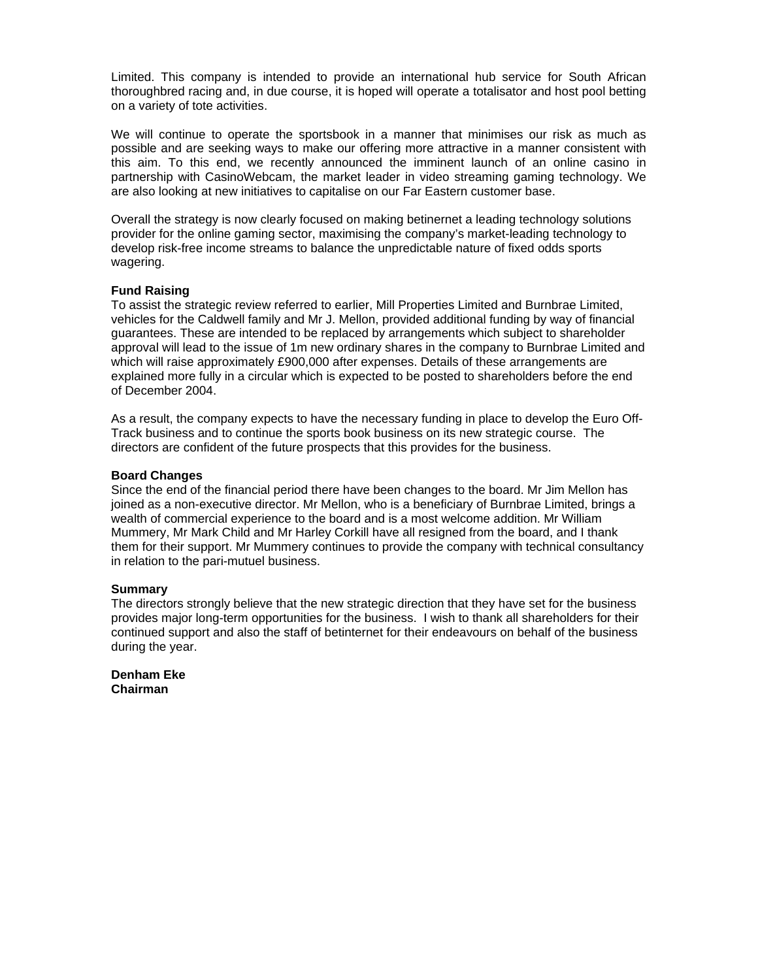Limited. This company is intended to provide an international hub service for South African thoroughbred racing and, in due course, it is hoped will operate a totalisator and host pool betting on a variety of tote activities.

We will continue to operate the sportsbook in a manner that minimises our risk as much as possible and are seeking ways to make our offering more attractive in a manner consistent with this aim. To this end, we recently announced the imminent launch of an online casino in partnership with CasinoWebcam, the market leader in video streaming gaming technology. We are also looking at new initiatives to capitalise on our Far Eastern customer base.

Overall the strategy is now clearly focused on making betinernet a leading technology solutions provider for the online gaming sector, maximising the company's market-leading technology to develop risk-free income streams to balance the unpredictable nature of fixed odds sports wagering.

### **Fund Raising**

To assist the strategic review referred to earlier, Mill Properties Limited and Burnbrae Limited, vehicles for the Caldwell family and Mr J. Mellon, provided additional funding by way of financial guarantees. These are intended to be replaced by arrangements which subject to shareholder approval will lead to the issue of 1m new ordinary shares in the company to Burnbrae Limited and which will raise approximately £900,000 after expenses. Details of these arrangements are explained more fully in a circular which is expected to be posted to shareholders before the end of December 2004.

As a result, the company expects to have the necessary funding in place to develop the Euro Off-Track business and to continue the sports book business on its new strategic course. The directors are confident of the future prospects that this provides for the business.

### **Board Changes**

Since the end of the financial period there have been changes to the board. Mr Jim Mellon has joined as a non-executive director. Mr Mellon, who is a beneficiary of Burnbrae Limited, brings a wealth of commercial experience to the board and is a most welcome addition. Mr William Mummery, Mr Mark Child and Mr Harley Corkill have all resigned from the board, and I thank them for their support. Mr Mummery continues to provide the company with technical consultancy in relation to the pari-mutuel business.

#### **Summary**

The directors strongly believe that the new strategic direction that they have set for the business provides major long-term opportunities for the business. I wish to thank all shareholders for their continued support and also the staff of betinternet for their endeavours on behalf of the business during the year.

**Denham Eke Chairman**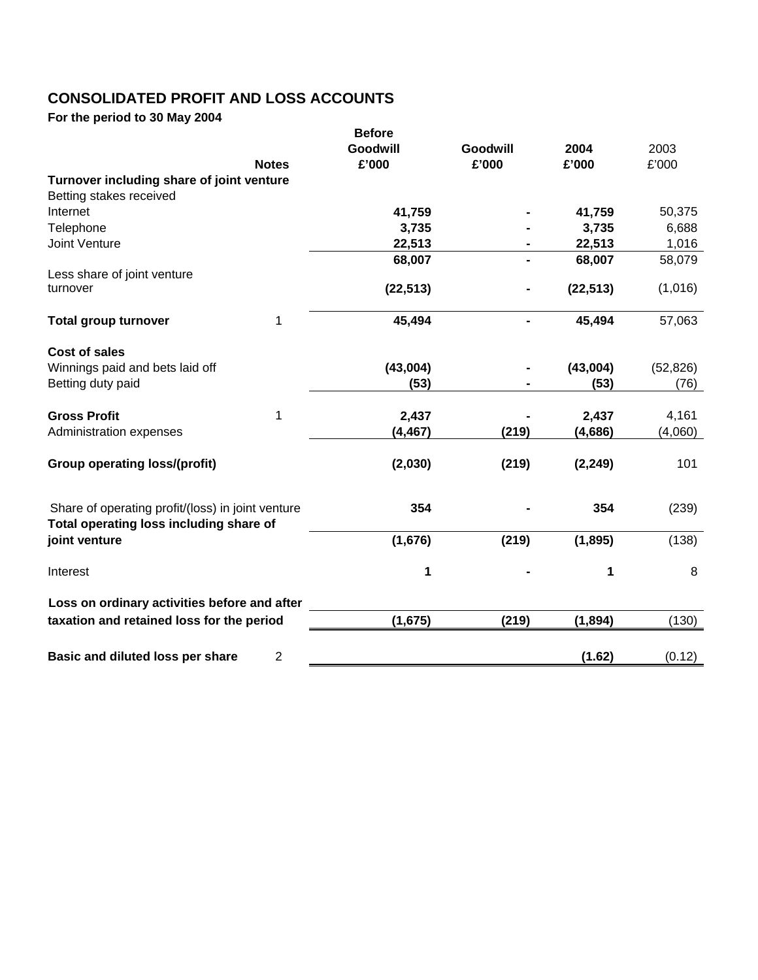# **CONSOLIDATED PROFIT AND LOSS ACCOUNTS**

**For the period to 30 May 2004** 

|                                                          |                | <b>Before</b> |          |           |           |
|----------------------------------------------------------|----------------|---------------|----------|-----------|-----------|
|                                                          |                | Goodwill      | Goodwill | 2004      | 2003      |
|                                                          | <b>Notes</b>   | £'000         | £'000    | £'000     | £'000     |
| Turnover including share of joint venture                |                |               |          |           |           |
| Betting stakes received                                  |                |               |          |           |           |
| Internet                                                 |                | 41,759        |          | 41,759    | 50,375    |
| Telephone                                                |                | 3,735         |          | 3,735     | 6,688     |
| <b>Joint Venture</b>                                     |                | 22,513        |          | 22,513    | 1,016     |
|                                                          |                | 68,007        |          | 68,007    | 58,079    |
| Less share of joint venture                              |                |               |          |           |           |
| turnover                                                 |                | (22, 513)     |          | (22, 513) | (1,016)   |
|                                                          |                |               |          |           |           |
| <b>Total group turnover</b>                              | 1              | 45,494        |          | 45,494    | 57,063    |
| Cost of sales                                            |                |               |          |           |           |
| Winnings paid and bets laid off                          |                | (43,004)      |          | (43,004)  | (52, 826) |
| Betting duty paid                                        |                | (53)          |          | (53)      | (76)      |
|                                                          |                |               |          |           |           |
| <b>Gross Profit</b>                                      | 1              | 2,437         |          | 2,437     | 4,161     |
| Administration expenses                                  |                | (4, 467)      | (219)    | (4,686)   | (4,060)   |
|                                                          |                |               |          |           |           |
| <b>Group operating loss/(profit)</b>                     |                | (2,030)       | (219)    | (2, 249)  | 101       |
|                                                          |                |               |          |           |           |
| Share of operating profit/(loss) in joint venture        |                | 354           |          | 354       | (239)     |
| Total operating loss including share of<br>joint venture |                | (1,676)       | (219)    | (1, 895)  | (138)     |
|                                                          |                |               |          |           |           |
| Interest                                                 |                | 1             |          | 1         | 8         |
| Loss on ordinary activities before and after             |                |               |          |           |           |
| taxation and retained loss for the period                |                | (1,675)       | (219)    | (1,894)   | (130)     |
|                                                          |                |               |          |           |           |
| Basic and diluted loss per share                         | $\overline{2}$ |               |          | (1.62)    | (0.12)    |
|                                                          |                |               |          |           |           |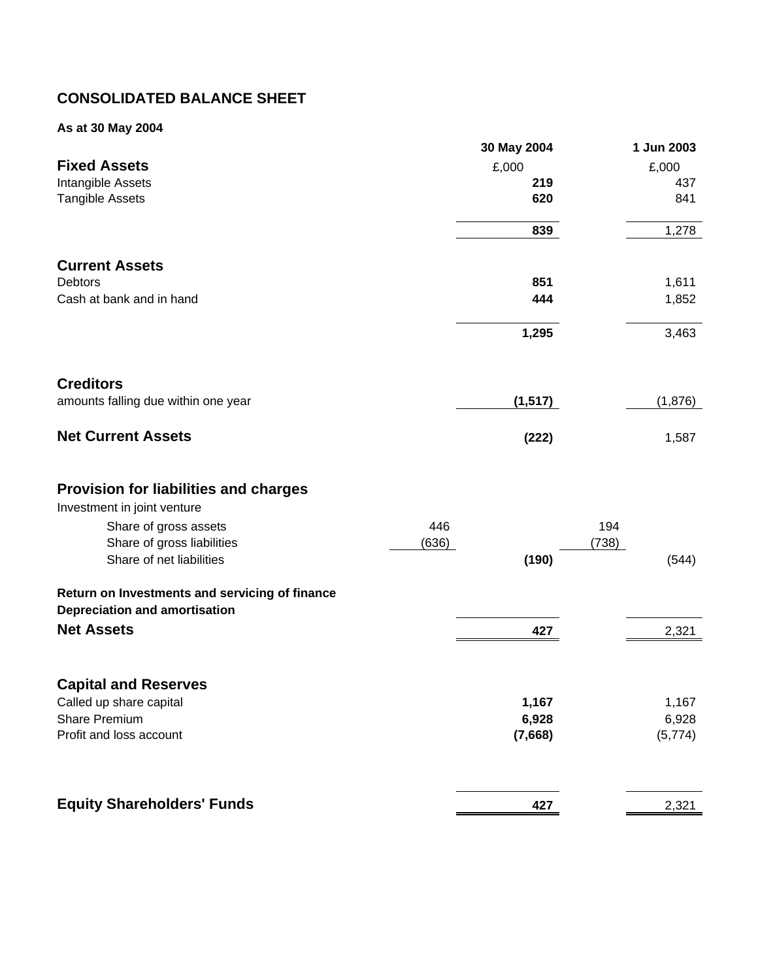# **CONSOLIDATED BALANCE SHEET**

### **As at 30 May 2004**

| <b>Fixed Assets</b>                                                                    |       | 30 May 2004<br>£,000 |       | 1 Jun 2003<br>£,000 |
|----------------------------------------------------------------------------------------|-------|----------------------|-------|---------------------|
| Intangible Assets                                                                      |       | 219                  |       | 437                 |
| <b>Tangible Assets</b>                                                                 |       | 620                  |       | 841                 |
|                                                                                        |       | 839                  |       | 1,278               |
| <b>Current Assets</b>                                                                  |       |                      |       |                     |
| <b>Debtors</b>                                                                         |       | 851                  |       | 1,611               |
| Cash at bank and in hand                                                               |       | 444                  |       | 1,852               |
|                                                                                        |       | 1,295                |       | 3,463               |
| <b>Creditors</b>                                                                       |       |                      |       |                     |
| amounts falling due within one year                                                    |       | (1, 517)             |       | (1,876)             |
| <b>Net Current Assets</b>                                                              |       | (222)                |       | 1,587               |
| <b>Provision for liabilities and charges</b><br>Investment in joint venture            |       |                      |       |                     |
| Share of gross assets                                                                  | 446   |                      | 194   |                     |
| Share of gross liabilities                                                             | (636) |                      | (738) |                     |
| Share of net liabilities                                                               |       | (190)                |       | (544)               |
| Return on Investments and servicing of finance<br><b>Depreciation and amortisation</b> |       |                      |       |                     |
| <b>Net Assets</b>                                                                      |       | 427                  |       | 2,321               |
| <b>Capital and Reserves</b>                                                            |       |                      |       |                     |
| Called up share capital                                                                |       | 1,167                |       | 1,167               |
| <b>Share Premium</b>                                                                   |       | 6,928                |       | 6,928               |
| Profit and loss account                                                                |       | (7,668)              |       | (5, 774)            |
| <b>Equity Shareholders' Funds</b>                                                      |       | 427                  |       | 2,321               |
|                                                                                        |       |                      |       |                     |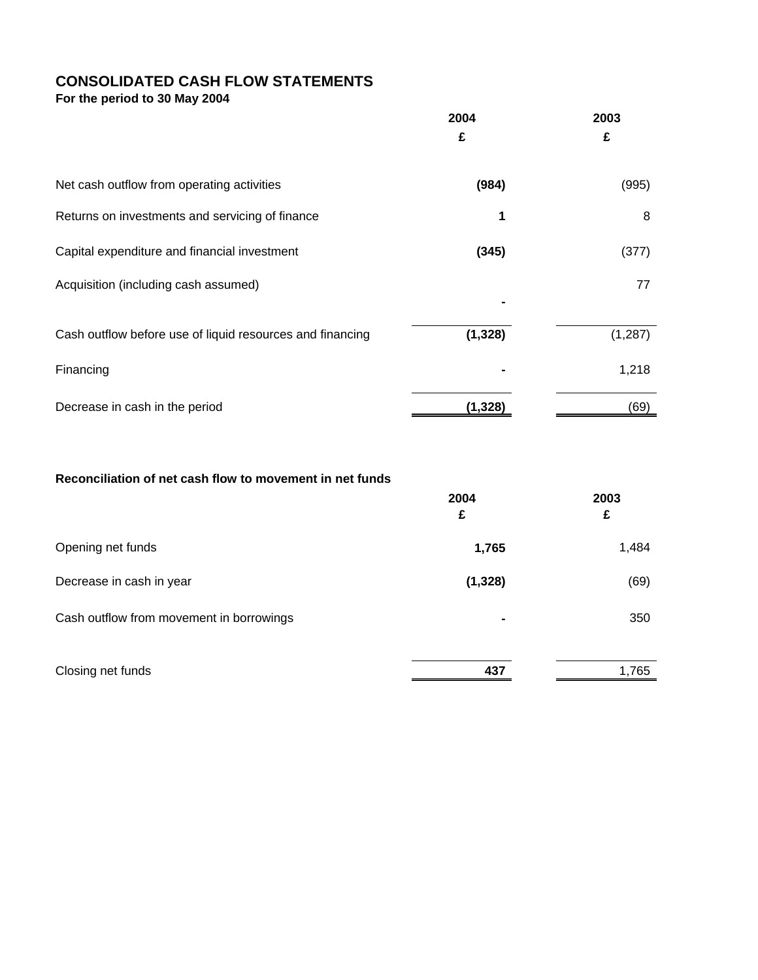## **CONSOLIDATED CASH FLOW STATEMENTS**

**For the period to 30 May 2004** 

|                                                           | 2004<br>£ | 2003<br>£ |
|-----------------------------------------------------------|-----------|-----------|
| Net cash outflow from operating activities                | (984)     | (995)     |
| Returns on investments and servicing of finance           |           | 8         |
| Capital expenditure and financial investment              | (345)     | (377)     |
| Acquisition (including cash assumed)                      |           | 77        |
| Cash outflow before use of liquid resources and financing | (1, 328)  | (1, 287)  |
| Financing                                                 |           | 1,218     |
| Decrease in cash in the period                            | (1, 328)  | (69)      |

### **Reconciliation of net cash flow to movement in net funds**

|                                          | 2004<br>£      | 2003<br>£ |
|------------------------------------------|----------------|-----------|
| Opening net funds                        | 1,765          | 1,484     |
| Decrease in cash in year                 | (1, 328)       | (69)      |
| Cash outflow from movement in borrowings | $\blacksquare$ | 350       |
| Closing net funds                        | 437            | 1,765     |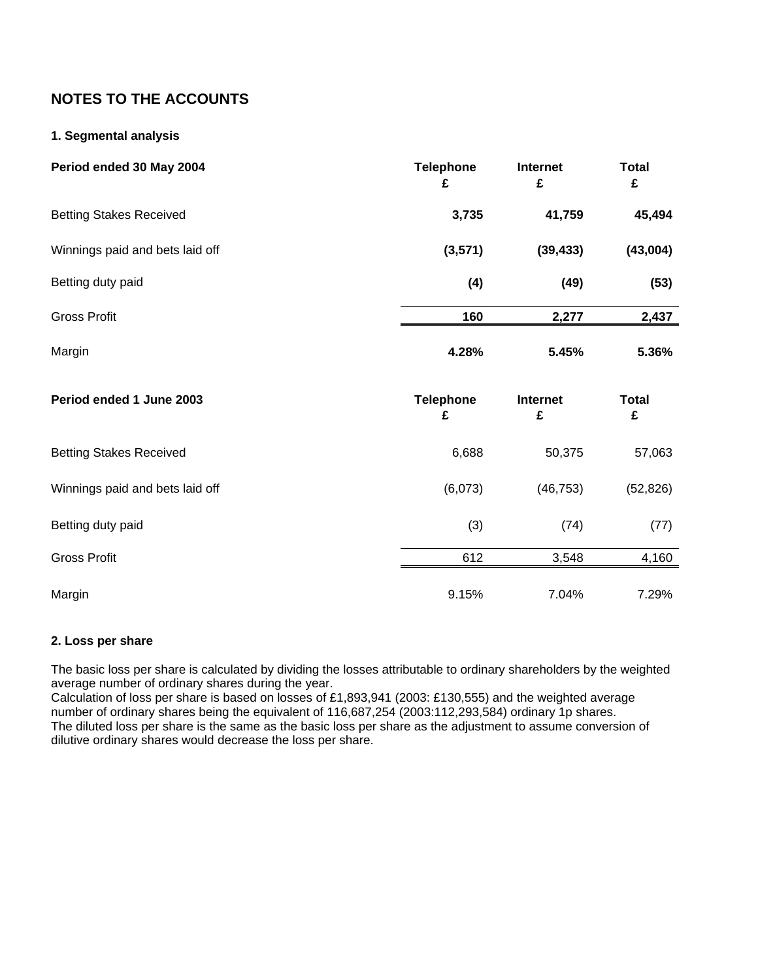## **NOTES TO THE ACCOUNTS**

### **1. Segmental analysis**

| Period ended 30 May 2004        | <b>Telephone</b><br>£ | Internet<br>£ | <b>Total</b><br>£ |
|---------------------------------|-----------------------|---------------|-------------------|
| <b>Betting Stakes Received</b>  | 3,735                 | 41,759        | 45,494            |
| Winnings paid and bets laid off | (3, 571)              | (39, 433)     | (43,004)          |
| Betting duty paid               | (4)                   | (49)          | (53)              |
| <b>Gross Profit</b>             | 160                   | 2,277         | 2,437             |
| Margin                          | 4.28%                 | 5.45%         | 5.36%             |
|                                 |                       |               |                   |
| Period ended 1 June 2003        | <b>Telephone</b><br>£ | Internet<br>£ | <b>Total</b><br>£ |
| <b>Betting Stakes Received</b>  | 6,688                 | 50,375        | 57,063            |
| Winnings paid and bets laid off | (6,073)               | (46, 753)     | (52, 826)         |
| Betting duty paid               | (3)                   | (74)          | (77)              |
| <b>Gross Profit</b>             | 612                   | 3,548         | 4,160             |

### **2. Loss per share**

The basic loss per share is calculated by dividing the losses attributable to ordinary shareholders by the weighted average number of ordinary shares during the year.

Calculation of loss per share is based on losses of £1,893,941 (2003: £130,555) and the weighted average number of ordinary shares being the equivalent of 116,687,254 (2003:112,293,584) ordinary 1p shares. The diluted loss per share is the same as the basic loss per share as the adjustment to assume conversion of dilutive ordinary shares would decrease the loss per share.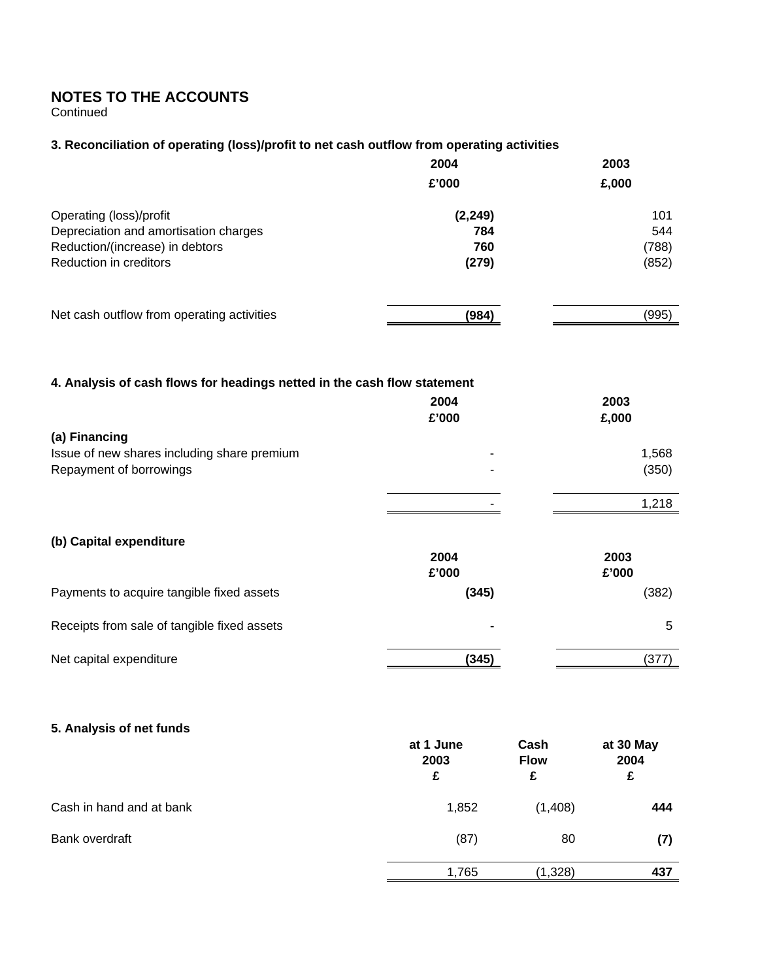## **NOTES TO THE ACCOUNTS**

**Continued** 

### **3. Reconciliation of operating (loss)/profit to net cash outflow from operating activities**

|                                            | 2004     | 2003  |
|--------------------------------------------|----------|-------|
|                                            | £'000    | £,000 |
| Operating (loss)/profit                    | (2, 249) | 101   |
| Depreciation and amortisation charges      | 784      | 544   |
| Reduction/(increase) in debtors            | 760      | (788) |
| Reduction in creditors                     | (279)    | (852) |
|                                            |          |       |
| Net cash outflow from operating activities | (984)    | (995) |

### **4. Analysis of cash flows for headings netted in the cash flow statement**

|                                                                                         | 2004<br>£'000       | 2003<br>£,000  |
|-----------------------------------------------------------------------------------------|---------------------|----------------|
| (a) Financing<br>Issue of new shares including share premium<br>Repayment of borrowings | $\blacksquare$<br>۰ | 1,568<br>(350) |
|                                                                                         |                     | 1,218          |
| (b) Capital expenditure                                                                 | 2004<br>£'000       | 2003<br>£'000  |
| Payments to acquire tangible fixed assets                                               | (345)               | (382)          |
| Receipts from sale of tangible fixed assets                                             | $\blacksquare$      | 5              |
| Net capital expenditure                                                                 | (345)               | (377)          |

### **5. Analysis of net funds**

|                          | at 1 June<br>2003<br>£ | Cash<br><b>Flow</b><br>£ | at 30 May<br>2004<br>£ |
|--------------------------|------------------------|--------------------------|------------------------|
| Cash in hand and at bank | 1,852                  | (1,408)                  | 444                    |
| Bank overdraft           | (87)                   | 80                       | (7)                    |
|                          | 1,765                  | (1,328)                  | 437                    |